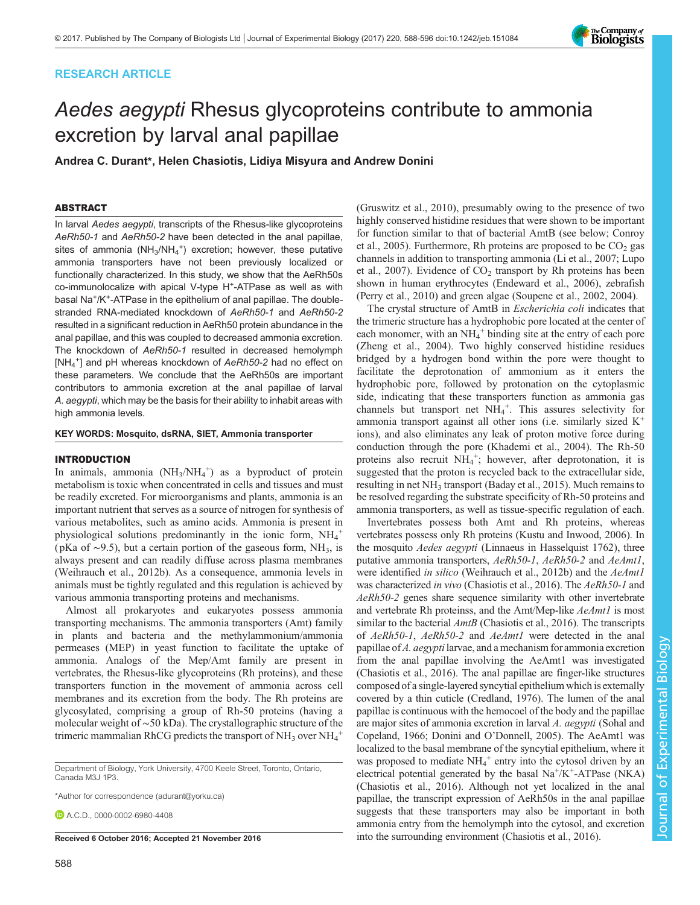# RESEARCH ARTICLE

# Aedes aegypti Rhesus glycoproteins contribute to ammonia excretion by larval anal papillae

Andrea C. Durant\*, Helen Chasiotis, Lidiya Misyura and Andrew Donini

# ABSTRACT

In larval Aedes aegypti, transcripts of the Rhesus-like glycoproteins AeRh50-1 and AeRh50-2 have been detected in the anal papillae, sites of ammonia (NH<sub>3</sub>/NH<sub>4</sub><sup>+</sup>) excretion; however, these putative ammonia transporters have not been previously localized or functionally characterized. In this study, we show that the AeRh50s co-immunolocalize with apical V-type H+-ATPase as well as with basal Na+/K+-ATPase in the epithelium of anal papillae. The doublestranded RNA-mediated knockdown of AeRh50-1 and AeRh50-2 resulted in a significant reduction in AeRh50 protein abundance in the anal papillae, and this was coupled to decreased ammonia excretion. The knockdown of AeRh50-1 resulted in decreased hemolymph [NH<sub>4</sub><sup>+</sup>] and pH whereas knockdown of AeRh50-2 had no effect on these parameters. We conclude that the AeRh50s are important contributors to ammonia excretion at the anal papillae of larval A. aegypti, which may be the basis for their ability to inhabit areas with high ammonia levels.

KEY WORDS: Mosquito, dsRNA, SIET, Ammonia transporter

# INTRODUCTION

In animals, ammonia  $(NH_3/NH_4^+)$  as a byproduct of protein metabolism is toxic when concentrated in cells and tissues and must be readily excreted. For microorganisms and plants, ammonia is an important nutrient that serves as a source of nitrogen for synthesis of various metabolites, such as amino acids. Ammonia is present in physiological solutions predominantly in the ionic form,  $NH_4^+$ ( pKa of ∼9.5), but a certain portion of the gaseous form, NH3, is always present and can readily diffuse across plasma membranes [\(Weihrauch et al., 2012b](#page-8-0)). As a consequence, ammonia levels in animals must be tightly regulated and this regulation is achieved by various ammonia transporting proteins and mechanisms.

Almost all prokaryotes and eukaryotes possess ammonia transporting mechanisms. The ammonia transporters (Amt) family in plants and bacteria and the methylammonium/ammonia permeases (MEP) in yeast function to facilitate the uptake of ammonia. Analogs of the Mep/Amt family are present in vertebrates, the Rhesus-like glycoproteins (Rh proteins), and these transporters function in the movement of ammonia across cell membranes and its excretion from the body. The Rh proteins are glycosylated, comprising a group of Rh-50 proteins (having a molecular weight of ∼50 kDa). The crystallographic structure of the trimeric mammalian RhCG predicts the transport of NH<sub>3</sub> over NH<sub>4</sub><sup>+</sup>

Department of Biology, York University, 4700 Keele Street, Toronto, Ontario, Canada M3J 1P3.

\*Author for correspondence [\(adurant@yorku.ca](mailto:adurant@yorku.ca))

**D** A C D [0000-0002-6980-4408](http://orcid.org/0000-0002-6980-4408)

[\(Gruswitz et al., 2010](#page-7-0)), presumably owing to the presence of two highly conserved histidine residues that were shown to be important for function similar to that of bacterial AmtB (see below; [Conroy](#page-7-0) [et al., 2005](#page-7-0)). Furthermore, Rh proteins are proposed to be  $CO<sub>2</sub>$  gas channels in addition to transporting ammonia [\(Li et al., 2007](#page-7-0); [Lupo](#page-7-0) [et al., 2007\)](#page-7-0). Evidence of  $CO<sub>2</sub>$  transport by Rh proteins has been shown in human erythrocytes [\(Endeward et al., 2006\)](#page-7-0), zebrafish [\(Perry et al., 2010](#page-8-0)) and green algae [\(Soupene et al., 2002](#page-8-0), [2004](#page-8-0)).

The crystal structure of AmtB in Escherichia coli indicates that the trimeric structure has a hydrophobic pore located at the center of each monomer, with an NH<sub>4</sub><sup>+</sup> binding site at the entry of each pore [\(Zheng et al., 2004](#page-8-0)). Two highly conserved histidine residues bridged by a hydrogen bond within the pore were thought to facilitate the deprotonation of ammonium as it enters the hydrophobic pore, followed by protonation on the cytoplasmic side, indicating that these transporters function as ammonia gas channels but transport net  $NH_4^+$ . This assures selectivity for ammonia transport against all other ions (i.e. similarly sized  $K^+$ ions), and also eliminates any leak of proton motive force during conduction through the pore [\(Khademi et al., 2004\)](#page-7-0). The Rh-50 proteins also recruit NH<sub>4</sub><sup>+</sup>; however, after deprotonation, it is suggested that the proton is recycled back to the extracellular side, resulting in net  $NH_3$  transport [\(Baday et al., 2015\)](#page-7-0). Much remains to be resolved regarding the substrate specificity of Rh-50 proteins and ammonia transporters, as well as tissue-specific regulation of each.

Invertebrates possess both Amt and Rh proteins, whereas vertebrates possess only Rh proteins [\(Kustu and Inwood, 2006](#page-7-0)). In the mosquito Aedes aegypti (Linnaeus in Hasselquist 1762), three putative ammonia transporters, AeRh50-1, AeRh50-2 and AeAmt1, were identified in silico [\(Weihrauch et al., 2012b\)](#page-8-0) and the AeAmt1 was characterized in vivo [\(Chasiotis et al., 2016\)](#page-7-0). The AeRh50-1 and AeRh50-2 genes share sequence similarity with other invertebrate and vertebrate Rh proteinss, and the Amt/Mep-like AeAmt1 is most similar to the bacterial  $AmtB$  ([Chasiotis et al., 2016](#page-7-0)). The transcripts of AeRh50-1, AeRh50-2 and AeAmt1 were detected in the anal papillae ofA. aegypti larvae, and a mechanism for ammonia excretion from the anal papillae involving the AeAmt1 was investigated [\(Chasiotis et al., 2016\)](#page-7-0). The anal papillae are finger-like structures composed of a single-layered syncytial epithelium which is externally covered by a thin cuticle [\(Credland, 1976](#page-7-0)). The lumen of the anal papillae is continuous with the hemocoel of the body and the papillae are major sites of ammonia excretion in larval A. aegypti [\(Sohal and](#page-8-0) [Copeland, 1966;](#page-8-0) Donini and O'[Donnell, 2005\)](#page-7-0). The AeAmt1 was localized to the basal membrane of the syncytial epithelium, where it was proposed to mediate NH<sub>4</sub><sup>+</sup> entry into the cytosol driven by an electrical potential generated by the basal Na<sup>+</sup>/K<sup>+</sup>-ATPase (NKA) [\(Chasiotis et al., 2016](#page-7-0)). Although not yet localized in the anal papillae, the transcript expression of AeRh50s in the anal papillae suggests that these transporters may also be important in both ammonia entry from the hemolymph into the cytosol, and excretion Received 6 October 2016; Accepted 21 November 2016 into the surrounding environment [\(Chasiotis et al., 2016\)](#page-7-0).

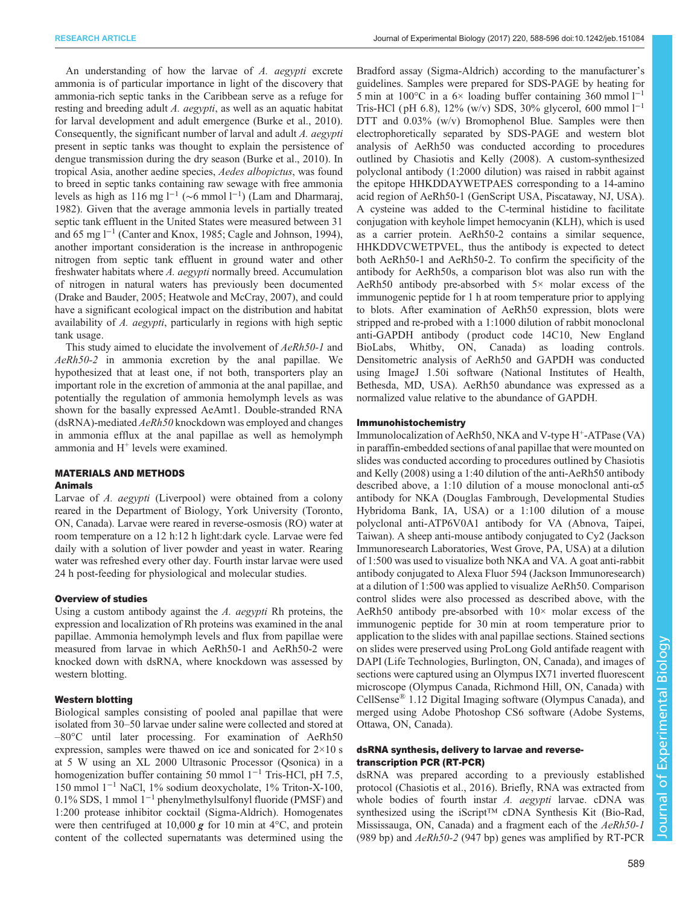An understanding of how the larvae of A. aegypti excrete ammonia is of particular importance in light of the discovery that ammonia-rich septic tanks in the Caribbean serve as a refuge for resting and breeding adult A. *aegypti*, as well as an aquatic habitat for larval development and adult emergence ([Burke et al., 2010\)](#page-7-0). Consequently, the significant number of larval and adult A. aegypti present in septic tanks was thought to explain the persistence of dengue transmission during the dry season ([Burke et al., 2010\)](#page-7-0). In tropical Asia, another aedine species, Aedes albopictus, was found to breed in septic tanks containing raw sewage with free ammonia levels as high as 116 mg l−<sup>1</sup> (∼6 mmol l−<sup>1</sup> ) ([Lam and Dharmaraj,](#page-7-0) [1982](#page-7-0)). Given that the average ammonia levels in partially treated septic tank effluent in the United States were measured between 31 and 65 mg l−<sup>1</sup> ([Canter and Knox, 1985; Cagle and Johnson, 1994\)](#page-7-0), another important consideration is the increase in anthropogenic nitrogen from septic tank effluent in ground water and other freshwater habitats where A. aegypti normally breed. Accumulation of nitrogen in natural waters has previously been documented [\(Drake and Bauder, 2005; Heatwole and McCray, 2007](#page-7-0)), and could have a significant ecological impact on the distribution and habitat availability of A. aegypti, particularly in regions with high septic tank usage.

This study aimed to elucidate the involvement of AeRh50-1 and AeRh50-2 in ammonia excretion by the anal papillae. We hypothesized that at least one, if not both, transporters play an important role in the excretion of ammonia at the anal papillae, and potentially the regulation of ammonia hemolymph levels as was shown for the basally expressed AeAmt1. Double-stranded RNA ( $d$ sRNA)-mediated  $A$ eRh50 knockdown was employed and changes in ammonia efflux at the anal papillae as well as hemolymph ammonia and H<sup>+</sup> levels were examined.

# MATERIALS AND METHODS

### Animals

Larvae of A. *aegypti* (Liverpool) were obtained from a colony reared in the Department of Biology, York University (Toronto, ON, Canada). Larvae were reared in reverse-osmosis (RO) water at room temperature on a 12 h:12 h light:dark cycle. Larvae were fed daily with a solution of liver powder and yeast in water. Rearing water was refreshed every other day. Fourth instar larvae were used 24 h post-feeding for physiological and molecular studies.

### Overview of studies

Using a custom antibody against the A. aegypti Rh proteins, the expression and localization of Rh proteins was examined in the anal papillae. Ammonia hemolymph levels and flux from papillae were measured from larvae in which AeRh50-1 and AeRh50-2 were knocked down with dsRNA, where knockdown was assessed by western blotting.

# Western blotting

Biological samples consisting of pooled anal papillae that were isolated from 30–50 larvae under saline were collected and stored at –80°C until later processing. For examination of AeRh50 expression, samples were thawed on ice and sonicated for  $2 \times 10$  s at 5 W using an XL 2000 Ultrasonic Processor (Qsonica) in a homogenization buffer containing 50 mmol  $1^{-1}$  Tris-HCl, pH 7.5, 150 mmol 1−<sup>1</sup> NaCl, 1% sodium deoxycholate, 1% Triton-X-100, 0.1% SDS, 1 mmol 1−<sup>1</sup> phenylmethylsulfonyl fluoride (PMSF) and 1:200 protease inhibitor cocktail (Sigma-Aldrich). Homogenates were then centrifuged at 10,000  $g$  for 10 min at 4 $\degree$ C, and protein content of the collected supernatants was determined using the

Bradford assay (Sigma-Aldrich) according to the manufacturer's guidelines. Samples were prepared for SDS-PAGE by heating for 5 min at 100 $^{\circ}$ C in a 6× loading buffer containing 360 mmol  $1^{-1}$ Tris-HCl (pH 6.8), 12% (w/v) SDS, 30% glycerol, 600 mmol  $1^{-1}$ DTT and 0.03% (w/v) Bromophenol Blue. Samples were then electrophoretically separated by SDS-PAGE and western blot analysis of AeRh50 was conducted according to procedures outlined by [Chasiotis and Kelly \(2008\)](#page-7-0). A custom-synthesized polyclonal antibody (1:2000 dilution) was raised in rabbit against the epitope HHKDDAYWETPAES corresponding to a 14-amino acid region of AeRh50-1 (GenScript USA, Piscataway, NJ, USA). A cysteine was added to the C-terminal histidine to facilitate conjugation with keyhole limpet hemocyanin (KLH), which is used as a carrier protein. AeRh50-2 contains a similar sequence, HHKDDVCWETPVEL, thus the antibody is expected to detect both AeRh50-1 and AeRh50-2. To confirm the specificity of the antibody for AeRh50s, a comparison blot was also run with the AeRh50 antibody pre-absorbed with 5× molar excess of the immunogenic peptide for 1 h at room temperature prior to applying to blots. After examination of AeRh50 expression, blots were stripped and re-probed with a 1:1000 dilution of rabbit monoclonal anti-GAPDH antibody ( product code 14C10, New England BioLabs, Whitby, ON, Canada) as loading controls. Densitometric analysis of AeRh50 and GAPDH was conducted using ImageJ 1.50i software (National Institutes of Health, Bethesda, MD, USA). AeRh50 abundance was expressed as a normalized value relative to the abundance of GAPDH.

### Immunohistochemistry

Immunolocalization of AeRh50, NKA and V-type H<sup>+</sup>-ATPase (VA) in paraffin-embedded sections of anal papillae that were mounted on slides was conducted according to procedures outlined by [Chasiotis](#page-7-0) [and Kelly \(2008\)](#page-7-0) using a 1:40 dilution of the anti-AeRh50 antibody described above, a 1:10 dilution of a mouse monoclonal anti-α5 antibody for NKA (Douglas Fambrough, Developmental Studies Hybridoma Bank, IA, USA) or a 1:100 dilution of a mouse polyclonal anti-ATP6V0A1 antibody for VA (Abnova, Taipei, Taiwan). A sheep anti-mouse antibody conjugated to Cy2 (Jackson Immunoresearch Laboratories, West Grove, PA, USA) at a dilution of 1:500 was used to visualize both NKA and VA. A goat anti-rabbit antibody conjugated to Alexa Fluor 594 (Jackson Immunoresearch) at a dilution of 1:500 was applied to visualize AeRh50. Comparison control slides were also processed as described above, with the AeRh50 antibody pre-absorbed with  $10\times$  molar excess of the immunogenic peptide for 30 min at room temperature prior to application to the slides with anal papillae sections. Stained sections on slides were preserved using ProLong Gold antifade reagent with DAPI (Life Technologies, Burlington, ON, Canada), and images of sections were captured using an Olympus IX71 inverted fluorescent microscope (Olympus Canada, Richmond Hill, ON, Canada) with CellSense® 1.12 Digital Imaging software (Olympus Canada), and merged using Adobe Photoshop CS6 software (Adobe Systems, Ottawa, ON, Canada).

# dsRNA synthesis, delivery to larvae and reversetranscription PCR (RT-PCR)

dsRNA was prepared according to a previously established protocol [\(Chasiotis et al., 2016\)](#page-7-0). Briefly, RNA was extracted from whole bodies of fourth instar A. aegypti larvae. cDNA was synthesized using the iScript™ cDNA Synthesis Kit (Bio-Rad, Mississauga, ON, Canada) and a fragment each of the AeRh50-1 (989 bp) and  $AeRh50-2$  (947 bp) genes was amplified by RT-PCR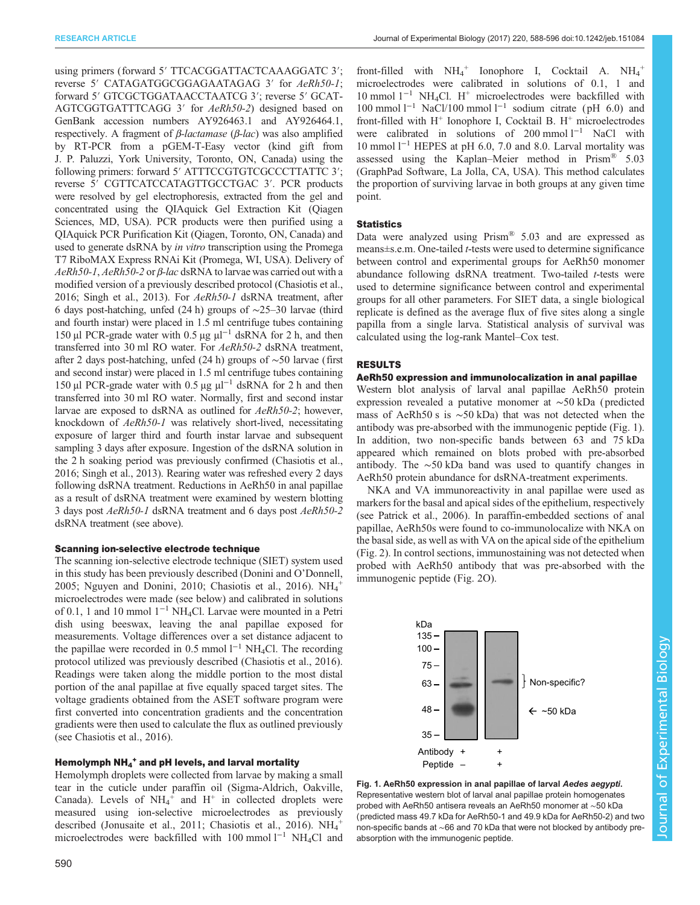using primers (forward 5′ TTCACGGATTACTCAAAGGATC 3′; reverse 5′ CATAGATGGCGGAGAATAGAG 3′ for AeRh50-1; forward 5′ GTCGCTGGATAACCTAATCG 3′; reverse 5′ GCAT-AGTCGGTGATTTCAGG 3′ for AeRh50-2) designed based on GenBank accession numbers AY926463.1 and AY926464.1, respectively. A fragment of  $β$ -lactamase ( $β$ -lac) was also amplified by RT-PCR from a pGEM-T-Easy vector (kind gift from J. P. Paluzzi, York University, Toronto, ON, Canada) using the following primers: forward 5' ATTTCCGTGTCGCCCTTATTC 3'; reverse 5′ CGTTCATCCATAGTTGCCTGAC 3′. PCR products were resolved by gel electrophoresis, extracted from the gel and concentrated using the QIAquick Gel Extraction Kit (Qiagen Sciences, MD, USA). PCR products were then purified using a QIAquick PCR Purification Kit (Qiagen, Toronto, ON, Canada) and used to generate dsRNA by *in vitro* transcription using the Promega T7 RiboMAX Express RNAi Kit (Promega, WI, USA). Delivery of  $AeRh50-1$ ,  $AeRh50-2$  or  $\beta$ -lac dsRNA to larvae was carried out with a modified version of a previously described protocol [\(Chasiotis et al.,](#page-7-0) [2016;](#page-7-0) [Singh et al., 2013\)](#page-8-0). For AeRh50-1 dsRNA treatment, after 6 days post-hatching, unfed (24 h) groups of ∼25–30 larvae (third and fourth instar) were placed in 1.5 ml centrifuge tubes containing 150 µl PCR-grade water with 0.5 µg  $\mu$ l<sup>-1</sup> dsRNA for 2 h, and then transferred into 30 ml RO water. For AeRh50-2 dsRNA treatment, after 2 days post-hatching, unfed (24 h) groups of ∼50 larvae (first and second instar) were placed in 1.5 ml centrifuge tubes containing 150 µl PCR-grade water with 0.5 µg  $\mu$ l<sup>-1</sup> dsRNA for 2 h and then transferred into 30 ml RO water. Normally, first and second instar larvae are exposed to dsRNA as outlined for AeRh50-2; however, knockdown of AeRh50-1 was relatively short-lived, necessitating exposure of larger third and fourth instar larvae and subsequent sampling 3 days after exposure. Ingestion of the dsRNA solution in the 2 h soaking period was previously confirmed [\(Chasiotis et al.,](#page-7-0) [2016;](#page-7-0) [Singh et al., 2013\)](#page-8-0). Rearing water was refreshed every 2 days following dsRNA treatment. Reductions in AeRh50 in anal papillae as a result of dsRNA treatment were examined by western blotting 3 days post AeRh50-1 dsRNA treatment and 6 days post AeRh50-2 dsRNA treatment (see above).

### Scanning ion-selective electrode technique

The scanning ion-selective electrode technique (SIET) system used in this study has been previously described [\(Donini and O](#page-7-0)'Donnell, [2005](#page-7-0); [Nguyen and Donini, 2010;](#page-8-0) [Chasiotis et al., 2016](#page-7-0)).  $NH_4^+$ microelectrodes were made (see below) and calibrated in solutions of 0.1, 1 and 10 mmol 1−<sup>1</sup> NH4Cl. Larvae were mounted in a Petri dish using beeswax, leaving the anal papillae exposed for measurements. Voltage differences over a set distance adjacent to the papillae were recorded in 0.5 mmol  $l^{-1}$  NH<sub>4</sub>Cl. The recording protocol utilized was previously described [\(Chasiotis et al., 2016\)](#page-7-0). Readings were taken along the middle portion to the most distal portion of the anal papillae at five equally spaced target sites. The voltage gradients obtained from the ASET software program were first converted into concentration gradients and the concentration gradients were then used to calculate the flux as outlined previously (see [Chasiotis et al., 2016](#page-7-0)).

# Hemolymph NH4 <sup>+</sup> and pH levels, and larval mortality

Hemolymph droplets were collected from larvae by making a small tear in the cuticle under paraffin oil (Sigma-Aldrich, Oakville, Canada). Levels of  $NH_4^+$  and  $H^+$  in collected droplets were measured using ion-selective microelectrodes as previously described [\(Jonusaite et al., 2011; Chasiotis et al., 2016\)](#page-7-0).  $NH_4^+$ microelectrodes were backfilled with 100 mmol l−<sup>1</sup> NH4Cl and

front-filled with  $NH_4^+$  Ionophore I, Cocktail A.  $NH_4^+$ microelectrodes were calibrated in solutions of 0.1, 1 and 10 mmol  $1^{-1}$  NH<sub>4</sub>Cl. H<sup>+</sup> microelectrodes were backfilled with 100 mmol l−<sup>1</sup> NaCl/100 mmol l−<sup>1</sup> sodium citrate ( pH 6.0) and front-filled with  $H^+$  Ionophore I, Cocktail B.  $H^+$  microelectrodes were calibrated in solutions of 200 mmol  $l^{-1}$  NaCl with 10 mmol l−<sup>1</sup> HEPES at pH 6.0, 7.0 and 8.0. Larval mortality was assessed using the Kaplan–Meier method in Prism® 5.03 (GraphPad Software, La Jolla, CA, USA). This method calculates the proportion of surviving larvae in both groups at any given time point.

# **Statistics**

Data were analyzed using Prism® 5.03 and are expressed as means±s.e.m. One-tailed t-tests were used to determine significance between control and experimental groups for AeRh50 monomer abundance following dsRNA treatment. Two-tailed *t*-tests were used to determine significance between control and experimental groups for all other parameters. For SIET data, a single biological replicate is defined as the average flux of five sites along a single papilla from a single larva. Statistical analysis of survival was calculated using the log-rank Mantel–Cox test.

# RESULTS

# AeRh50 expression and immunolocalization in anal papillae

Western blot analysis of larval anal papillae AeRh50 protein expression revealed a putative monomer at ∼50 kDa ( predicted mass of AeRh50 s is ∼50 kDa) that was not detected when the antibody was pre-absorbed with the immunogenic peptide (Fig. 1). In addition, two non-specific bands between 63 and 75 kDa appeared which remained on blots probed with pre-absorbed antibody. The ∼50 kDa band was used to quantify changes in AeRh50 protein abundance for dsRNA-treatment experiments.

NKA and VA immunoreactivity in anal papillae were used as markers for the basal and apical sides of the epithelium, respectively (see [Patrick et al., 2006](#page-8-0)). In paraffin-embedded sections of anal papillae, AeRh50s were found to co-immunolocalize with NKA on the basal side, as well as with VA on the apical side of the epithelium [\(Fig. 2\)](#page-3-0). In control sections, immunostaining was not detected when probed with AeRh50 antibody that was pre-absorbed with the immunogenic peptide [\(Fig. 2](#page-3-0)O).



Fig. 1. AeRh50 expression in anal papillae of larval Aedes aegypti. Representative western blot of larval anal papillae protein homogenates probed with AeRh50 antisera reveals an AeRh50 monomer at ∼50 kDa (predicted mass 49.7 kDa for AeRh50-1 and 49.9 kDa for AeRh50-2) and two non-specific bands at ∼66 and 70 kDa that were not blocked by antibody preabsorption with the immunogenic peptide.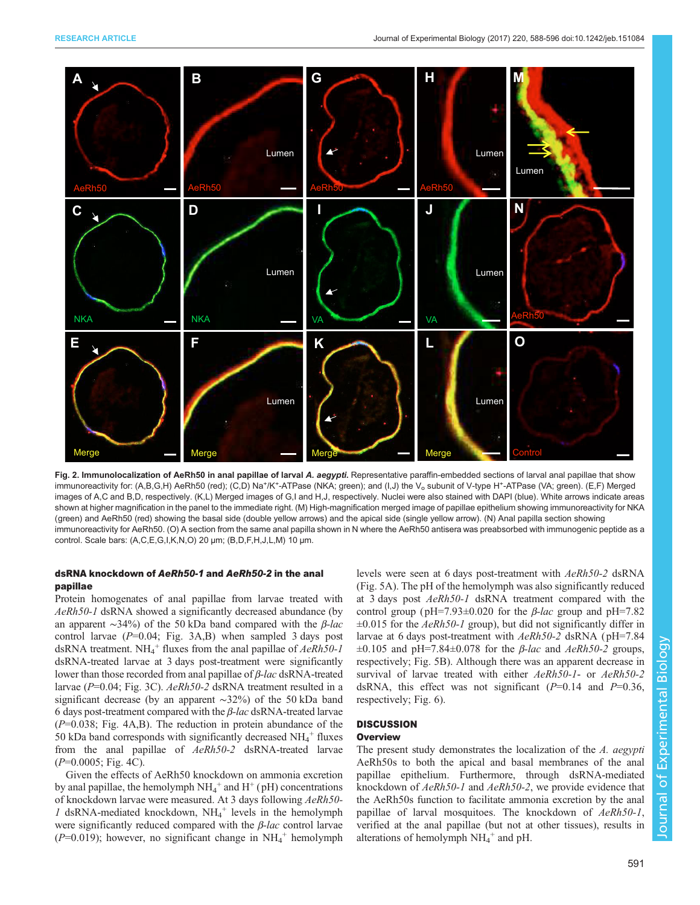<span id="page-3-0"></span>

Fig. 2. Immunolocalization of AeRh50 in anal papillae of larval A. aegypti. Representative paraffin-embedded sections of larval anal papillae that show immunoreactivity for: (A,B,G,H) AeRh50 (red); (C,D) Na+/K+-ATPase (NKA; green); and (I,J) the V<sub>o</sub> subunit of V-type H+-ATPase (VA; green). (E,F) Merged images of A,C and B,D, respectively. (K,L) Merged images of G,I and H,J, respectively. Nuclei were also stained with DAPI (blue). White arrows indicate areas shown at higher magnification in the panel to the immediate right. (M) High-magnification merged image of papillae epithelium showing immunoreactivity for NKA (green) and AeRh50 (red) showing the basal side (double yellow arrows) and the apical side (single yellow arrow). (N) Anal papilla section showing immunoreactivity for AeRh50. (O) A section from the same anal papilla shown in N where the AeRh50 antisera was preabsorbed with immunogenic peptide as a control. Scale bars: (A,C,E,G,I,K,N,O) 20 µm; (B,D,F,H,J,L,M) 10 µm.

# dsRNA knockdown of AeRh50-1 and AeRh50-2 in the anal papillae

Protein homogenates of anal papillae from larvae treated with AeRh50-1 dsRNA showed a significantly decreased abundance (by an apparent  $\sim$ 34%) of the 50 kDa band compared with the *β-lac* control larvae  $(P=0.04;$  [Fig. 3](#page-4-0)A,B) when sampled 3 days post dsRNA treatment.  $NH_4^+$  fluxes from the anal papillae of  $AeRh50-1$ dsRNA-treated larvae at 3 days post-treatment were significantly lower than those recorded from anal papillae of β-lac dsRNA-treated larvae (P=0.04; [Fig. 3](#page-4-0)C). AeRh50-2 dsRNA treatment resulted in a significant decrease (by an apparent ∼32%) of the 50 kDa band 6 days post-treatment compared with the  $\beta$ -lac dsRNA-treated larvae  $(P=0.038;$  [Fig. 4](#page-4-0)A,B). The reduction in protein abundance of the 50 kDa band corresponds with significantly decreased  $NH_4^+$  fluxes from the anal papillae of AeRh50-2 dsRNA-treated larvae  $(P=0.0005;$  [Fig. 4](#page-4-0)C).

Given the effects of AeRh50 knockdown on ammonia excretion by anal papillae, the hemolymph  $NH_4^+$  and  $H^+(pH)$  concentrations of knockdown larvae were measured. At 3 days following AeRh50-  $1$  dsRNA-mediated knockdown, NH<sub>4</sub><sup>+</sup> levels in the hemolymph were significantly reduced compared with the  $\beta$ -lac control larvae  $(P=0.019)$ ; however, no significant change in NH<sub>4</sub><sup>+</sup> hemolymph

levels were seen at 6 days post-treatment with AeRh50-2 dsRNA [\(Fig. 5A](#page-5-0)). The pH of the hemolymph was also significantly reduced at 3 days post AeRh50-1 dsRNA treatment compared with the control group ( $pH=7.93\pm0.020$  for the *β-lac* group and  $pH=7.82$  $\pm 0.015$  for the AeRh50-1 group), but did not significantly differ in larvae at 6 days post-treatment with AeRh50-2 dsRNA (pH=7.84)  $\pm 0.105$  and pH=7.84 $\pm 0.078$  for the *β-lac* and *AeRh50-2* groups, respectively; [Fig. 5B](#page-5-0)). Although there was an apparent decrease in survival of larvae treated with either AeRh50-1- or AeRh50-2 dsRNA, this effect was not significant  $(P=0.14$  and  $P=0.36$ , respectively; [Fig. 6\)](#page-5-0).

# **DISCUSSION**

# **Overview**

The present study demonstrates the localization of the A. aegypti AeRh50s to both the apical and basal membranes of the anal papillae epithelium. Furthermore, through dsRNA-mediated knockdown of AeRh50-1 and AeRh50-2, we provide evidence that the AeRh50s function to facilitate ammonia excretion by the anal papillae of larval mosquitoes. The knockdown of AeRh50-1, verified at the anal papillae (but not at other tissues), results in alterations of hemolymph  $NH_4^+$  and pH.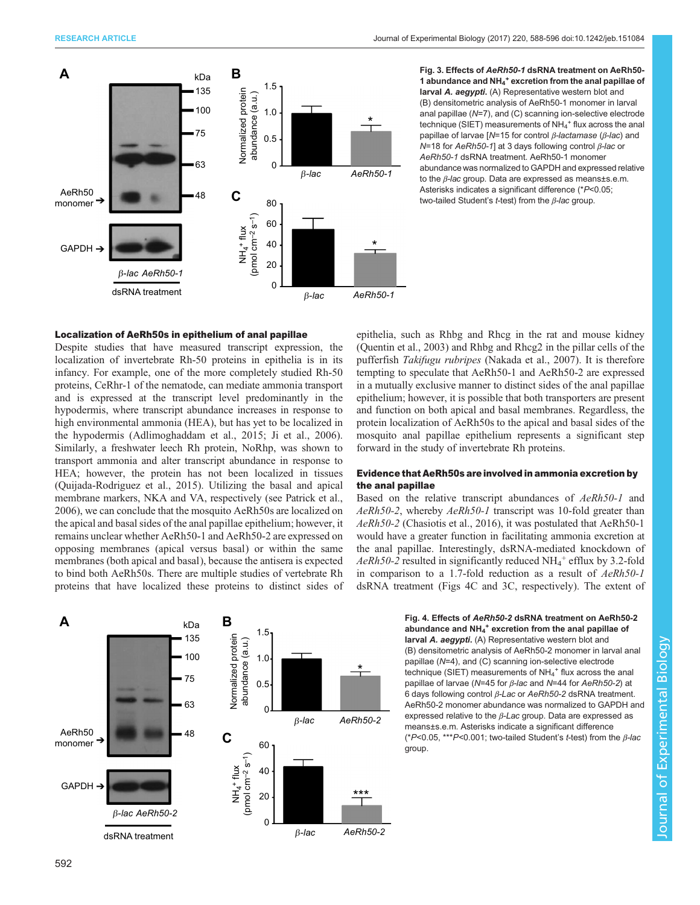<span id="page-4-0"></span>

Fig. 3. Effects of AeRh50-1 dsRNA treatment on AeRh50- 1 abundance and NH<sub>4</sub><sup>+</sup> excretion from the anal papillae of larval A. aegypti. (A) Representative western blot and (B) densitometric analysis of AeRh50-1 monomer in larval anal papillae (N=7), and (C) scanning ion-selective electrode technique (SIET) measurements of  $NH_4^+$  flux across the anal papillae of larvae [N=15 for control  $β$ -lactamase ( $β$ -lac) and N=18 for AeRh50-1] at 3 days following control  $β$ -lac or AeRh50-1 dsRNA treatment. AeRh50-1 monomer abundance was normalized to GAPDH and expressed relative to the *β-lac* group. Data are expressed as means±s.e.m. Asterisks indicates a significant difference (\*P<0.05; two-tailed Student's t-test) from the  $\beta$ -lac group.

# Localization of AeRh50s in epithelium of anal papillae

Despite studies that have measured transcript expression, the localization of invertebrate Rh-50 proteins in epithelia is in its infancy. For example, one of the more completely studied Rh-50 proteins, CeRhr-1 of the nematode, can mediate ammonia transport and is expressed at the transcript level predominantly in the hypodermis, where transcript abundance increases in response to high environmental ammonia (HEA), but has yet to be localized in the hypodermis [\(Adlimoghaddam et al., 2015](#page-7-0); [Ji et al., 2006\)](#page-7-0). Similarly, a freshwater leech Rh protein, NoRhp, was shown to transport ammonia and alter transcript abundance in response to HEA; however, the protein has not been localized in tissues [\(Quijada-Rodriguez et al., 2015\)](#page-8-0). Utilizing the basal and apical membrane markers, NKA and VA, respectively (see [Patrick et al.,](#page-8-0) [2006](#page-8-0)), we can conclude that the mosquito AeRh50s are localized on the apical and basal sides of the anal papillae epithelium; however, it remains unclear whether AeRh50-1 and AeRh50-2 are expressed on opposing membranes (apical versus basal) or within the same membranes (both apical and basal), because the antisera is expected to bind both AeRh50s. There are multiple studies of vertebrate Rh proteins that have localized these proteins to distinct sides of



### Evidence that AeRh50s are involved in ammonia excretion by the anal papillae

Based on the relative transcript abundances of AeRh50-1 and AeRh50-2, whereby AeRh50-1 transcript was 10-fold greater than AeRh50-2 [\(Chasiotis et al., 2016\)](#page-7-0), it was postulated that AeRh50-1 would have a greater function in facilitating ammonia excretion at the anal papillae. Interestingly, dsRNA-mediated knockdown of  $AeRh50-2$  resulted in significantly reduced NH<sub>4</sub><sup>+</sup> efflux by 3.2-fold in comparison to a 1.7-fold reduction as a result of AeRh50-1 dsRNA treatment (Figs 4C and 3C, respectively). The extent of



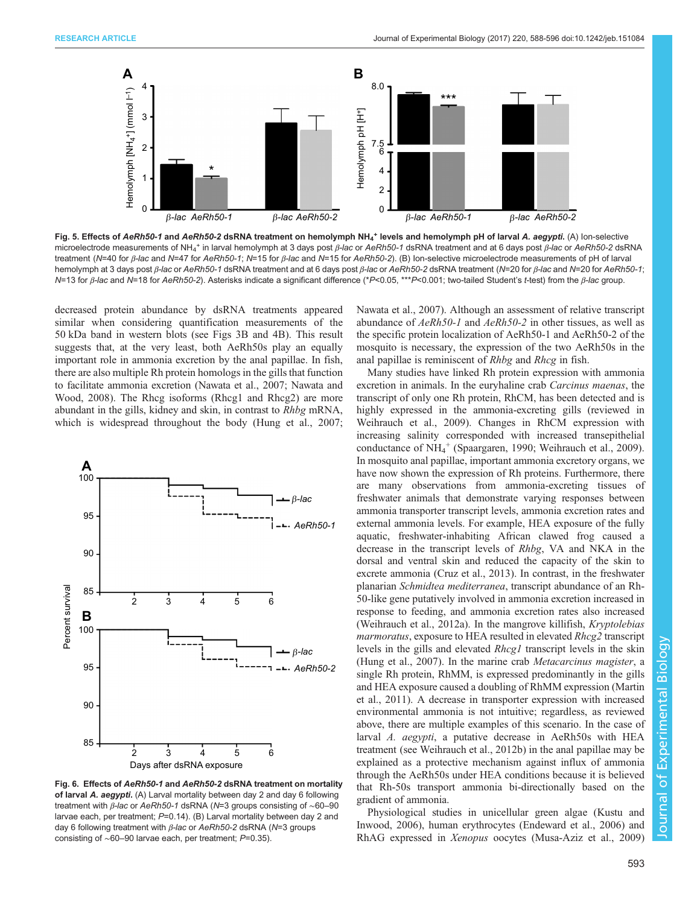<span id="page-5-0"></span>

Fig. 5. Effects of AeRh50-1 and AeRh50-2 dsRNA treatment on hemolymph NH<sub>4</sub><sup>+</sup> levels and hemolymph pH of larval A. aegypti. (A) lon-selective microelectrode measurements of NH<sub>4</sub><sup>+</sup> in larval hemolymph at 3 days post *β-lac* or AeRh50-1 dsRNA treatment and at 6 days post *β-lac* or AeRh50-2 dsRNA treatment (N=40 for β-lac and N=47 for AeRh50-1; N=15 for β-lac and N=15 for AeRh50-2). (B) Ion-selective microelectrode measurements of pH of larval hemolymph at 3 days post β-lac or AeRh50-1 dsRNA treatment and at 6 days post β-lac or AeRh50-2 dsRNA treatment (N=20 for β-lac and N=20 for AeRh50-1; N=13 for β-lac and N=18 for AeRh50-2). Asterisks indicate a significant difference (\*P<0.05, \*\*\*P<0.001; two-tailed Student's t-test) from the β-lac group.

decreased protein abundance by dsRNA treatments appeared similar when considering quantification measurements of the 50 kDa band in western blots (see [Figs 3](#page-4-0)B and [4](#page-4-0)B). This result suggests that, at the very least, both AeRh50s play an equally important role in ammonia excretion by the anal papillae. In fish, there are also multiple Rh protein homologs in the gills that function to facilitate ammonia excretion ([Nawata et al., 2007; Nawata and](#page-7-0) [Wood, 2008](#page-7-0)). The Rhcg isoforms (Rhcg1 and Rhcg2) are more abundant in the gills, kidney and skin, in contrast to Rhbg mRNA, which is widespread throughout the body [\(Hung et al., 2007](#page-7-0);



Fig. 6. Effects of AeRh50-1 and AeRh50-2 dsRNA treatment on mortality of larval A. aegypti. (A) Larval mortality between day 2 and day 6 following treatment with *β-lac* or AeRh50-1 dsRNA (N=3 groups consisting of ~60–90 larvae each, per treatment; P=0.14). (B) Larval mortality between day 2 and day 6 following treatment with  $β$ -lac or AeRh50-2 dsRNA ( $N=3$  groups consisting of ∼60–90 larvae each, per treatment; P=0.35).

[Nawata et al., 2007](#page-7-0)). Although an assessment of relative transcript abundance of AeRh50-1 and AeRh50-2 in other tissues, as well as the specific protein localization of AeRh50-1 and AeRh50-2 of the mosquito is necessary, the expression of the two AeRh50s in the anal papillae is reminiscent of Rhbg and Rhcg in fish.

Many studies have linked Rh protein expression with ammonia excretion in animals. In the euryhaline crab Carcinus maenas, the transcript of only one Rh protein, RhCM, has been detected and is highly expressed in the ammonia-excreting gills (reviewed in [Weihrauch et al., 2009](#page-8-0)). Changes in RhCM expression with increasing salinity corresponded with increased transepithelial conductance of NH4 <sup>+</sup> ([Spaargaren, 1990](#page-8-0); [Weihrauch et al., 2009\)](#page-8-0). In mosquito anal papillae, important ammonia excretory organs, we have now shown the expression of Rh proteins. Furthermore, there are many observations from ammonia-excreting tissues of freshwater animals that demonstrate varying responses between ammonia transporter transcript levels, ammonia excretion rates and external ammonia levels. For example, HEA exposure of the fully aquatic, freshwater-inhabiting African clawed frog caused a decrease in the transcript levels of Rhbg, VA and NKA in the dorsal and ventral skin and reduced the capacity of the skin to excrete ammonia ([Cruz et al., 2013\)](#page-7-0). In contrast, in the freshwater planarian Schmidtea mediterranea, transcript abundance of an Rh-50-like gene putatively involved in ammonia excretion increased in response to feeding, and ammonia excretion rates also increased [\(Weihrauch et al., 2012a](#page-8-0)). In the mangrove killifish, Kryptolebias marmoratus, exposure to HEA resulted in elevated Rhcg2 transcript levels in the gills and elevated Rhcg1 transcript levels in the skin [\(Hung et al., 2007](#page-7-0)). In the marine crab Metacarcinus magister, a single Rh protein, RhMM, is expressed predominantly in the gills and HEA exposure caused a doubling of RhMM expression [\(Martin](#page-7-0) [et al., 2011](#page-7-0)). A decrease in transporter expression with increased environmental ammonia is not intuitive; regardless, as reviewed above, there are multiple examples of this scenario. In the case of larval A. aegypti, a putative decrease in AeRh50s with HEA treatment (see [Weihrauch et al., 2012b](#page-8-0)) in the anal papillae may be explained as a protective mechanism against influx of ammonia through the AeRh50s under HEA conditions because it is believed that Rh-50s transport ammonia bi-directionally based on the gradient of ammonia.

Physiological studies in unicellular green algae [\(Kustu and](#page-7-0) [Inwood, 2006\)](#page-7-0), human erythrocytes ([Endeward et al., 2006\)](#page-7-0) and RhAG expressed in Xenopus oocytes [\(Musa-Aziz et al., 2009\)](#page-7-0)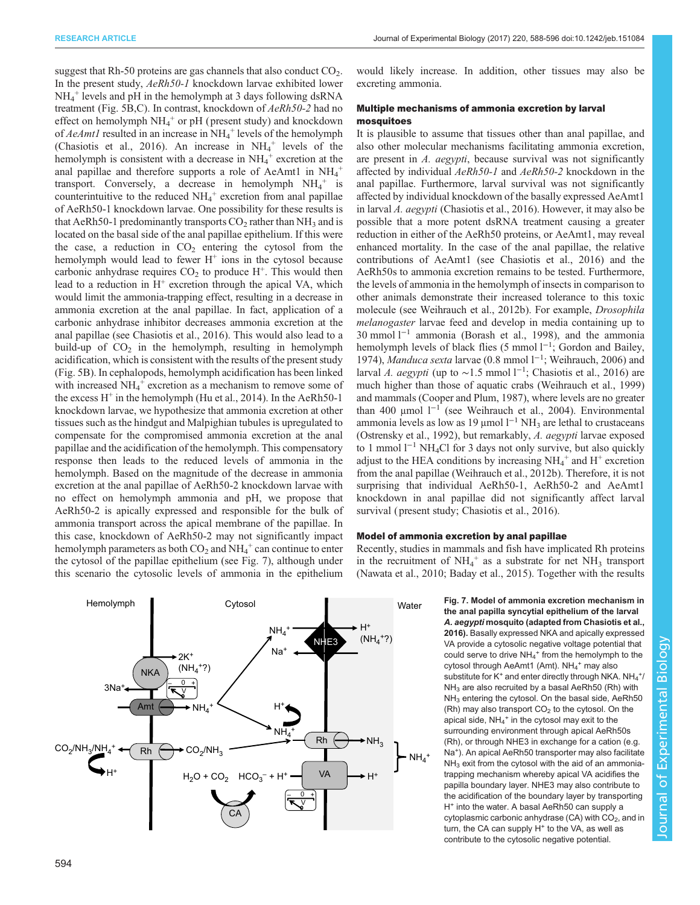<span id="page-6-0"></span>suggest that Rh-50 proteins are gas channels that also conduct  $CO<sub>2</sub>$ . In the present study, AeRh50-1 knockdown larvae exhibited lower NH4 <sup>+</sup> levels and pH in the hemolymph at 3 days following dsRNA treatment ([Fig. 5B](#page-5-0),C). In contrast, knockdown of AeRh50-2 had no effect on hemolymph  $NH_4^+$  or pH (present study) and knockdown of  $A$ e $A$ mtl resulted in an increase in NH<sub>4</sub><sup>+</sup> levels of the hemolymph [\(Chasiotis et al., 2016](#page-7-0)). An increase in  $NH_4^+$  levels of the hemolymph is consistent with a decrease in  $NH_4^+$  excretion at the anal papillae and therefore supports a role of AeAmt1 in  $NH_4^+$ transport. Conversely, a decrease in hemolymph  $NH_4^+$  is counterintuitive to the reduced  $NH_4^+$  excretion from anal papillae of AeRh50-1 knockdown larvae. One possibility for these results is that AeRh50-1 predominantly transports  $CO<sub>2</sub>$  rather than NH<sub>3</sub> and is located on the basal side of the anal papillae epithelium. If this were the case, a reduction in  $CO<sub>2</sub>$  entering the cytosol from the hemolymph would lead to fewer  $H^+$  ions in the cytosol because carbonic anhydrase requires  $CO<sub>2</sub>$  to produce H<sup>+</sup>. This would then lead to a reduction in  $H^+$  excretion through the apical VA, which would limit the ammonia-trapping effect, resulting in a decrease in ammonia excretion at the anal papillae. In fact, application of a carbonic anhydrase inhibitor decreases ammonia excretion at the anal papillae (see [Chasiotis et al., 2016](#page-7-0)). This would also lead to a build-up of  $CO<sub>2</sub>$  in the hemolymph, resulting in hemolymph acidification, which is consistent with the results of the present study [\(Fig. 5B](#page-5-0)). In cephalopods, hemolymph acidification has been linked with increased  $NH_4^+$  excretion as a mechanism to remove some of the excess  $H^+$  in the hemolymph [\(Hu et al., 2014](#page-7-0)). In the AeRh50-1 knockdown larvae, we hypothesize that ammonia excretion at other tissues such as the hindgut and Malpighian tubules is upregulated to compensate for the compromised ammonia excretion at the anal papillae and the acidification of the hemolymph. This compensatory response then leads to the reduced levels of ammonia in the hemolymph. Based on the magnitude of the decrease in ammonia excretion at the anal papillae of AeRh50-2 knockdown larvae with no effect on hemolymph ammonia and pH, we propose that AeRh50-2 is apically expressed and responsible for the bulk of ammonia transport across the apical membrane of the papillae. In this case, knockdown of AeRh50-2 may not significantly impact hemolymph parameters as both  $CO_2$  and  $NH_4^+$  can continue to enter the cytosol of the papillae epithelium (see Fig. 7), although under this scenario the cytosolic levels of ammonia in the epithelium

would likely increase. In addition, other tissues may also be excreting ammonia.

# Multiple mechanisms of ammonia excretion by larval mosquitoes

It is plausible to assume that tissues other than anal papillae, and also other molecular mechanisms facilitating ammonia excretion, are present in A. aegypti, because survival was not significantly affected by individual AeRh50-1 and AeRh50-2 knockdown in the anal papillae. Furthermore, larval survival was not significantly affected by individual knockdown of the basally expressed AeAmt1 in larval A. aegypti [\(Chasiotis et al., 2016\)](#page-7-0). However, it may also be possible that a more potent dsRNA treatment causing a greater reduction in either of the AeRh50 proteins, or AeAmt1, may reveal enhanced mortality. In the case of the anal papillae, the relative contributions of AeAmt1 (see [Chasiotis et al., 2016](#page-7-0)) and the AeRh50s to ammonia excretion remains to be tested. Furthermore, the levels of ammonia in the hemolymph of insects in comparison to other animals demonstrate their increased tolerance to this toxic molecule (see [Weihrauch et al., 2012b\)](#page-8-0). For example, Drosophila melanogaster larvae feed and develop in media containing up to 30 mmol l−<sup>1</sup> ammonia ([Borash et al., 1998](#page-7-0)), and the ammonia hemolymph levels of black flies (5 mmol l<sup>-1</sup>; [Gordon and Bailey,](#page-7-0) [1974\)](#page-7-0), Manduca sexta larvae (0.8 mmol l<sup>-1</sup>; [Weihrauch, 2006\)](#page-8-0) and larval A. aegypti (up to ~1.5 mmol  $1^{-1}$ ; [Chasiotis et al., 2016\)](#page-7-0) are much higher than those of aquatic crabs [\(Weihrauch et al., 1999\)](#page-8-0) and mammals [\(Cooper and Plum, 1987\)](#page-7-0), where levels are no greater than 400 μmol l−<sup>1</sup> (see [Weihrauch et al., 2004\)](#page-8-0). Environmental ammonia levels as low as 19 μmol  $l^{-1}$  NH<sub>3</sub> are lethal to crustaceans [\(Ostrensky et al., 1992](#page-8-0)), but remarkably, A. aegypti larvae exposed to 1 mmol l−<sup>1</sup> NH4Cl for 3 days not only survive, but also quickly adjust to the HEA conditions by increasing  $NH_4^+$  and  $H^+$  excretion from the anal papillae [\(Weihrauch et al., 2012b\)](#page-8-0). Therefore, it is not surprising that individual AeRh50-1, AeRh50-2 and AeAmt1 knockdown in anal papillae did not significantly affect larval survival (present study; [Chasiotis et al., 2016\)](#page-7-0).

### Model of ammonia excretion by anal papillae

Recently, studies in mammals and fish have implicated Rh proteins in the recruitment of  $NH_4^+$  as a substrate for net  $NH_3$  transport [\(Nawata et al., 2010](#page-7-0); [Baday et al., 2015](#page-7-0)). Together with the results

> Fig. 7. Model of ammonia excretion mechanism in the anal papilla syncytial epithelium of the larval A. aegypti mosquito (adapted from [Chasiotis et al.,](#page-7-0) [2016](#page-7-0)). Basally expressed NKA and apically expressed VA provide a cytosolic negative voltage potential that could serve to drive  $NH_4^+$  from the hemolymph to the cytosol through AeAmt1 (Amt). NH<sub>4</sub><sup>+</sup> may also substitute for K<sup>+</sup> and enter directly through NKA.  $NH_4^+$ /  $NH<sub>3</sub>$  are also recruited by a basal AeRh50 (Rh) with NH<sub>3</sub> entering the cytosol. On the basal side, AeRh50 (Rh) may also transport  $CO<sub>2</sub>$  to the cytosol. On the apical side,  $NH_4^+$  in the cytosol may exit to the surrounding environment through apical AeRh50s (Rh), or through NHE3 in exchange for a cation (e.g. Na+). An apical AeRh50 transporter may also facilitate  $NH<sub>3</sub>$  exit from the cytosol with the aid of an ammoniatrapping mechanism whereby apical VA acidifies the papilla boundary layer. NHE3 may also contribute to the acidification of the boundary layer by transporting  $H^+$  into the water. A basal AeRh50 can supply a cytoplasmic carbonic anhydrase (CA) with  $CO<sub>2</sub>$ , and in turn, the CA can supply  $H^+$  to the VA, as well as contribute to the cytosolic negative potential.

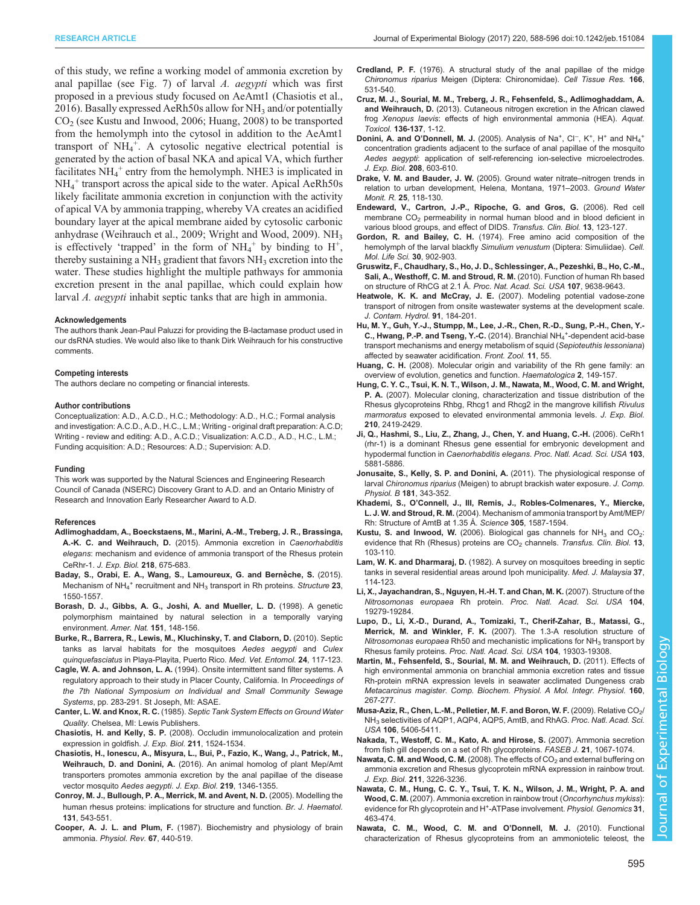<span id="page-7-0"></span>of this study, we refine a working model of ammonia excretion by anal papillae (see [Fig. 7\)](#page-6-0) of larval A. aegypti which was first proposed in a previous study focused on AeAmt1 (Chasiotis et al., 2016). Basally expressed AeRh50s allow for  $NH_3$  and/or potentially  $CO<sub>2</sub>$  (see Kustu and Inwood, 2006; Huang, 2008) to be transported from the hemolymph into the cytosol in addition to the AeAmt1 transport of  $NH_4^+$ . A cytosolic negative electrical potential is generated by the action of basal NKA and apical VA, which further facilitates  $NH_4$ <sup>+</sup> entry from the hemolymph. NHE3 is implicated in NH4 <sup>+</sup> transport across the apical side to the water. Apical AeRh50s likely facilitate ammonia excretion in conjunction with the activity of apical VA by ammonia trapping, whereby VA creates an acidified boundary layer at the apical membrane aided by cytosolic carbonic anhydrase ([Weihrauch et al., 2009](#page-8-0); [Wright and Wood, 2009\)](#page-8-0).  $NH<sub>3</sub>$ is effectively 'trapped' in the form of  $NH_4^+$  by binding to  $H^+$ , thereby sustaining a  $NH_3$  gradient that favors  $NH_3$  excretion into the water. These studies highlight the multiple pathways for ammonia excretion present in the anal papillae, which could explain how larval A. aegypti inhabit septic tanks that are high in ammonia.

### Acknowledgements

The authors thank Jean-Paul Paluzzi for providing the B-lactamase product used in our dsRNA studies. We would also like to thank Dirk Weihrauch for his constructive comments.

### Competing interests

The authors declare no competing or financial interests.

### Author contributions

Conceptualization: A.D., A.C.D., H.C.; Methodology: A.D., H.C.; Formal analysis and investigation: A.C.D., A.D., H.C., L.M.; Writing - original draft preparation: A.C.D; Writing - review and editing: A.D., A.C.D.; Visualization: A.C.D., A.D., H.C., L.M.; Funding acquisition: A.D.; Resources: A.D.; Supervision: A.D.

### Funding

This work was supported by the Natural Sciences and Engineering Research Council of Canada (NSERC) Discovery Grant to A.D. and an Ontario Ministry of Research and Innovation Early Researcher Award to A.D.

### References

- [Adlimoghaddam, A., Boeckstaens, M., Marini, A.-M., Treberg, J. R., Brassinga,](http://dx.doi.org/10.1242/jeb.111856) A.-K. C. and Weihrauch, D. [\(2015\). Ammonia excretion in](http://dx.doi.org/10.1242/jeb.111856) Caenorhabditis elegans[: mechanism and evidence of ammonia transport of the Rhesus protein](http://dx.doi.org/10.1242/jeb.111856) CeRhr-1. [J. Exp. Biol.](http://dx.doi.org/10.1242/jeb.111856) 218, 675-683.
- Baday, S., Orabi, E. A., Wang, S., Lamoureux, G. and Bernèche, S. (2015). Mechanism of NH<sub>4</sub><sup>[+](http://dx.doi.org/10.1016/j.str.2015.06.010)</sup> recruitment and NH<sub>3</sub> [transport in Rh proteins.](http://dx.doi.org/10.1016/j.str.2015.06.010) Structure 23, [1550-1557.](http://dx.doi.org/10.1016/j.str.2015.06.010)
- [Borash, D. J., Gibbs, A. G., Joshi, A. and Mueller, L. D.](http://dx.doi.org/10.1086/286108) (1998). A genetic [polymorphism maintained by natural selection in a temporally varying](http://dx.doi.org/10.1086/286108) [environment.](http://dx.doi.org/10.1086/286108) Amer. Nat. 151, 148-156.
- [Burke, R., Barrera, R., Lewis, M., Kluchinsky, T. and Claborn, D.](http://dx.doi.org/10.1111/j.1365-2915.2010.00864.x) (2010). Septic [tanks as larval habitats for the mosquitoes](http://dx.doi.org/10.1111/j.1365-2915.2010.00864.x) Aedes aegypti and Culex quinquefasciatus [in Playa-Playita, Puerto Rico.](http://dx.doi.org/10.1111/j.1365-2915.2010.00864.x) Med. Vet. Entomol. 24, 117-123.
- Cagle, W. A. and Johnson, L. A. (1994). Onsite intermittent sand filter systems. A regulatory approach to their study in Placer County, California. In Proceedings of the 7th National Symposium on Individual and Small Community Sewage Systems, pp. 283-291. St Joseph, MI: ASAE.
- Canter, L. W. and Knox, R. C. (1985). Septic Tank System Effects on Ground Water Quality. Chelsea, MI: Lewis Publishers.
- Chasiotis, H. and Kelly, S. P. [\(2008\). Occludin immunolocalization and protein](http://dx.doi.org/10.1242/jeb.014894) [expression in goldfish.](http://dx.doi.org/10.1242/jeb.014894) J. Exp. Biol. 211, 1524-1534.
- [Chasiotis, H., Ionescu, A., Misyura, L., Bui, P., Fazio, K., Wang, J., Patrick, M.,](http://dx.doi.org/10.1242/jeb.134494) Weihrauch, D. and Donini, A. [\(2016\). An animal homolog of plant Mep/Amt](http://dx.doi.org/10.1242/jeb.134494) [transporters promotes ammonia excretion by the anal papillae of the disease](http://dx.doi.org/10.1242/jeb.134494) [vector mosquito](http://dx.doi.org/10.1242/jeb.134494) Aedes aegypti. J. Exp. Biol. 219, 1346-1355.
- [Conroy, M. J., Bullough, P. A., Merrick, M. and Avent, N. D.](http://dx.doi.org/10.1111/j.1365-2141.2005.05786.x) (2005). Modelling the [human rhesus proteins: implications for structure and function.](http://dx.doi.org/10.1111/j.1365-2141.2005.05786.x) Br. J. Haematol. 131[, 543-551.](http://dx.doi.org/10.1111/j.1365-2141.2005.05786.x)
- Cooper, A. J. L. and Plum, F. (1987). Biochemistry and physiology of brain ammonia. Physiol. Rev. 67, 440-519.
- Credland, P. F. [\(1976\). A structural study of the anal papillae of the midge](http://dx.doi.org/10.1007/BF00225917) Chironomus riparius [Meigen \(Diptera: Chironomidae\).](http://dx.doi.org/10.1007/BF00225917) Cell Tissue Res. 166, [531-540.](http://dx.doi.org/10.1007/BF00225917)
- [Cruz, M. J., Sourial, M. M., Treberg, J. R., Fehsenfeld, S., Adlimoghaddam, A.](http://dx.doi.org/10.1016/j.aquatox.2013.03.002) and Weihrauch, D. [\(2013\). Cutaneous nitrogen excretion in the African clawed](http://dx.doi.org/10.1016/j.aquatox.2013.03.002) frog Xenopus laevis[: effects of high environmental ammonia \(HEA\).](http://dx.doi.org/10.1016/j.aquatox.2013.03.002) Aquat. Toxicol. [136-137](http://dx.doi.org/10.1016/j.aquatox.2013.03.002), 1-12.
- Donini, A. and O'Donnell, M. J. [\(2005\).](http://dx.doi.org/10.1242/jeb.01422) [Analysis](http://dx.doi.org/10.1242/jeb.01422) [of](http://dx.doi.org/10.1242/jeb.01422) [Na](http://dx.doi.org/10.1242/jeb.01422)<sup>+</sup>[,](http://dx.doi.org/10.1242/jeb.01422) [Cl](http://dx.doi.org/10.1242/jeb.01422)<sup>−</sup>, K<sup>[+](http://dx.doi.org/10.1242/jeb.01422)</sup>, H<sup>+</sup> and NH<sub>4</sub><sup>+</sup> [concentration gradients adjacent to the surface of anal papillae of the mosquito](http://dx.doi.org/10.1242/jeb.01422) Aedes aegypti[: application of self-referencing ion-selective microelectrodes](http://dx.doi.org/10.1242/jeb.01422). [J. Exp. Biol.](http://dx.doi.org/10.1242/jeb.01422) 208, 603-610.
- [Drake, V. M. and Bauder, J. W.](http://dx.doi.org/10.1111/j.1745-6592.2005.0017.x) (2005). Ground water nitrate–nitrogen trends in [relation to urban development, Helena, Montana, 1971](http://dx.doi.org/10.1111/j.1745-6592.2005.0017.x)–2003. Ground Water Monit. R. 25[, 118-130.](http://dx.doi.org/10.1111/j.1745-6592.2005.0017.x)
- [Endeward, V., Cartron, J.-P., Ripoche, G. and Gros, G.](http://dx.doi.org/10.1016/j.tracli.2006.02.007) (2006). Red cell membrane CO<sub>2</sub> [permeability in normal human blood and in blood deficient in](http://dx.doi.org/10.1016/j.tracli.2006.02.007) [various blood groups, and effect of DIDS.](http://dx.doi.org/10.1016/j.tracli.2006.02.007) Transfus. Clin. Biol. 13, 123-127.
- Gordon, R. and Bailey, C. H. [\(1974\). Free amino acid composition of the](http://dx.doi.org/10.1007/BF01938349) [hemolymph of the larval blackfly](http://dx.doi.org/10.1007/BF01938349) Simulium venustum (Diptera: Simuliidae). Cell. [Mol. Life Sci.](http://dx.doi.org/10.1007/BF01938349) 30, 902-903.
- [Gruswitz, F., Chaudhary, S., Ho, J. D., Schlessinger, A., Pezeshki, B., Ho, C.-M.,](http://dx.doi.org/10.1073/pnas.1003587107) [Sali, A., Westhoff, C. M. and Stroud, R. M.](http://dx.doi.org/10.1073/pnas.1003587107) (2010). Function of human Rh based [on structure of RhCG at 2.1 Å.](http://dx.doi.org/10.1073/pnas.1003587107) Proc. Nat. Acad. Sci. USA 107, 9638-9643.
- Heatwole, K. K. and McCray, J. E. [\(2007\). Modeling potential vadose-zone](http://dx.doi.org/10.1016/j.jconhyd.2006.08.012) [transport of nitrogen from onsite wastewater systems at the development scale.](http://dx.doi.org/10.1016/j.jconhyd.2006.08.012) [J. Contam. Hydrol.](http://dx.doi.org/10.1016/j.jconhyd.2006.08.012) 91, 184-201.
- [Hu, M. Y., Guh, Y.-J., Stumpp, M., Lee, J.-R., Chen, R.-D., Sung, P.-H., Chen, Y.-](http://dx.doi.org/10.1186/s12983-014-0055-z) [C., Hwang, P.-P. and Tseng, Y.-C.](http://dx.doi.org/10.1186/s12983-014-0055-z) (2014). Branchial NH<sub>4</sub><sup>+</sup>-dependent acid-base [transport mechanisms and energy metabolism of squid \(](http://dx.doi.org/10.1186/s12983-014-0055-z)Sepioteuthis lessoniana) [affected by seawater acidification.](http://dx.doi.org/10.1186/s12983-014-0055-z) Front. Zool. 11, 55.
- Huang, C. H. (2008). Molecular origin and variability of the Rh gene family: an overview of evolution, genetics and function. Haematologica 2, 149-157.
- [Hung, C. Y. C., Tsui, K. N. T., Wilson, J. M., Nawata, M., Wood, C. M. and Wright,](http://dx.doi.org/10.1242/jeb.002568) P. A. [\(2007\). Molecular cloning, characterization and tissue distribution of the](http://dx.doi.org/10.1242/jeb.002568) [Rhesus glycoproteins Rhbg, Rhcg1 and Rhcg2 in the mangrove killifish](http://dx.doi.org/10.1242/jeb.002568) Rivulus marmoratus [exposed to elevated environmental ammonia levels.](http://dx.doi.org/10.1242/jeb.002568) J. Exp. Biol. 210[, 2419-2429.](http://dx.doi.org/10.1242/jeb.002568)
- [Ji, Q., Hashmi, S., Liu, Z., Zhang, J., Chen, Y. and Huang, C.-H.](http://dx.doi.org/10.1073/pnas.0600901103) (2006). CeRh1 [\(rhr-1\) is a dominant Rhesus gene essential for embryonic development and](http://dx.doi.org/10.1073/pnas.0600901103) hypodermal function in Caenorhabditis elegans. [Proc. Natl. Acad. Sci. USA](http://dx.doi.org/10.1073/pnas.0600901103) 103, [5881-5886.](http://dx.doi.org/10.1073/pnas.0600901103)
- [Jonusaite, S., Kelly, S. P. and Donini, A.](http://dx.doi.org/10.1007/s00360-010-0526-2) (2011). The physiological response of larval Chironomus riparius [\(Meigen\) to abrupt brackish water exposure.](http://dx.doi.org/10.1007/s00360-010-0526-2) J. Comp. Physiol. B 181[, 343-352.](http://dx.doi.org/10.1007/s00360-010-0526-2)
- Khademi, S., O'[Connell, J., III, Remis, J., Robles-Colmenares, Y., Miercke,](http://dx.doi.org/10.1126/science.1101952) L. J. W. and Stroud, R. M. [\(2004\). Mechanism of ammonia transport by Amt/MEP/](http://dx.doi.org/10.1126/science.1101952) [Rh: Structure of AmtB at 1.35 Å.](http://dx.doi.org/10.1126/science.1101952) Science 305, 1587-1594.
- Kustu, S. and Inwood, W. (2006). Biological gas channels for  $NH<sub>3</sub>$  and CO<sub>2</sub>: evidence that Rh (Rhesus) proteins are  $CO<sub>2</sub>$  channels. [Transfus. Clin. Biol.](http://dx.doi.org/10.1016/j.tracli.2006.03.001) 13, [103-110.](http://dx.doi.org/10.1016/j.tracli.2006.03.001)
- Lam, W. K. and Dharmaraj, D. (1982). A survey on mosquitoes breeding in septic tanks in several residential areas around Ipoh municipality. Med. J. Malaysia 37, 114-123.
- [Li, X., Jayachandran, S., Nguyen, H.-H. T. and Chan, M. K.](http://dx.doi.org/10.1073/pnas.0709710104) (2007). Structure of the Nitrosomonas europaea Rh protein. [Proc. Natl. Acad. Sci. USA](http://dx.doi.org/10.1073/pnas.0709710104) 104, [19279-19284.](http://dx.doi.org/10.1073/pnas.0709710104)
- [Lupo, D., Li, X.-D., Durand, A., Tomizaki, T., Cherif-Zahar, B., Matassi, G.,](http://dx.doi.org/10.1073/pnas.0706563104) Merrick, M. and Winkler, F. K. [\(2007\). The 1.3-A resolution structure of](http://dx.doi.org/10.1073/pnas.0706563104) Nitrosomonas europaea Rh50 and mechanistic implications for  $NH<sub>3</sub>$  [transport by](http://dx.doi.org/10.1073/pnas.0706563104) Rhesus family proteins. [Proc. Natl. Acad. Sci. USA](http://dx.doi.org/10.1073/pnas.0706563104) 104, 19303-19308.
- [Martin, M., Fehsenfeld, S., Sourial, M. M. and Weihrauch, D.](http://dx.doi.org/10.1016/j.cbpa.2011.06.012) (2011). Effects of [high environmental ammonia on branchial ammonia excretion rates and tissue](http://dx.doi.org/10.1016/j.cbpa.2011.06.012) [Rh-protein mRNA expression levels in seawater acclimated Dungeness crab](http://dx.doi.org/10.1016/j.cbpa.2011.06.012) Metacarcinus magister. [Comp. Biochem. Physiol. A Mol. Integr. Physiol.](http://dx.doi.org/10.1016/j.cbpa.2011.06.012) 160, [267-277.](http://dx.doi.org/10.1016/j.cbpa.2011.06.012)
- [Musa-Aziz, R., Chen, L.-M., Pelletier, M. F. and Boron, W. F.](http://dx.doi.org/10.1073/pnas.0813231106) (2009). Relative  $CO_2/$  $CO_2/$ NH<sub>3</sub> [selectivities of AQP1, AQP4, AQP5, AmtB, and RhAG.](http://dx.doi.org/10.1073/pnas.0813231106) Proc. Natl. Acad. Sci. USA 106[, 5406-5411.](http://dx.doi.org/10.1073/pnas.0813231106)
- [Nakada, T., Westoff, C. M., Kato, A. and Hirose, S.](http://dx.doi.org/10.1096/fj.06-6834com) (2007). Ammonia secretion [from fish gill depends on a set of Rh glycoproteins.](http://dx.doi.org/10.1096/fj.06-6834com) FASEB J. 21, 1067-1074.
- [Nawata, C. M. and Wood, C. M.](http://dx.doi.org/10.1242/jeb.020396) (2008). The effects of  $CO<sub>2</sub>$  [and external buffering on](http://dx.doi.org/10.1242/jeb.020396) [ammonia excretion and Rhesus glycoprotein mRNA expression in rainbow trout](http://dx.doi.org/10.1242/jeb.020396). J. Exp. Biol. 211[, 3226-3236.](http://dx.doi.org/10.1242/jeb.020396)
- [Nawata, C. M., Hung, C. C. Y., Tsui, T. K. N., Wilson, J. M., Wright, P. A. and](http://dx.doi.org/10.1152/physiolgenomics.00061.2007) Wood, C. M. [\(2007\). Ammonia excretion in rainbow trout \(](http://dx.doi.org/10.1152/physiolgenomics.00061.2007)Oncorhynchus mykiss): evidence for Rh glycoprotein and H<sup>+</sup>-ATPase involvement. Physiol. Genomics 31, [463-474.](http://dx.doi.org/10.1152/physiolgenomics.00061.2007)
- [Nawata, C. M., Wood, C. M. and O](http://dx.doi.org/10.1242/jeb.038752)'Donnell, M. J. (2010). Functional [characterization of Rhesus glycoproteins from an ammoniotelic teleost, the](http://dx.doi.org/10.1242/jeb.038752)